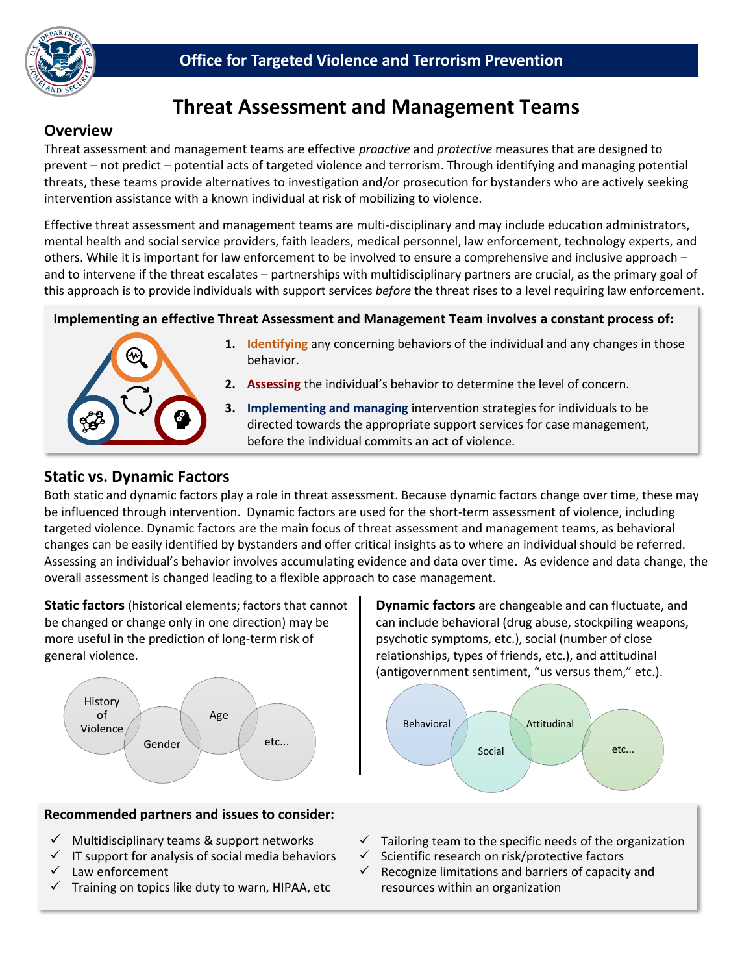

# **Threat Assessment and Management Teams**

## **Overview**

 prevent – not predict – potential acts of targeted violence and terrorism. Through identifying and managing potential Threat assessment and management teams are effective *proactive* and *protective* measures that are designed to threats, these teams provide alternatives to investigation and/or prosecution for bystanders who are actively seeking intervention assistance with a known individual at risk of mobilizing to violence.

Effective threat assessment and management teams are multi-disciplinary and may include education administrators, mental health and social service providers, faith leaders, medical personnel, law enforcement, technology experts, and others. While it is important for law enforcement to be involved to ensure a comprehensive and inclusive approach – and to intervene if the threat escalates – partnerships with multidisciplinary partners are crucial, as the primary goal of this approach is to provide individuals with support services *before* the threat rises to a level requiring law enforcement.

#### **Implementing an effective Threat Assessment and Management Team involves a constant process of:**



- **1. Identifying** any concerning behaviors of the individual and any changes in those behavior.
- **2. Assessing** the individual's behavior to determine the level of concern.
- **3. Implementing and managing** intervention strategies for individuals to be directed towards the appropriate support services for case management, before the individual commits an act of violence.

### **Static vs. Dynamic Factors**

 Assessing an individual's behavior involves accumulating evidence and data over time. As evidence and data change, the Both static and dynamic factors play a role in threat assessment. Because dynamic factors change over time, these may be influenced through intervention. Dynamic factors are used for the short-term assessment of violence, including targeted violence. Dynamic factors are the main focus of threat assessment and management teams, as behavioral changes can be easily identified by bystanders and offer critical insights as to where an individual should be referred. overall assessment is changed leading to a flexible approach to case management.

**Static factors** (historical elements; factors that cannot be changed or change only in one direction) may be more useful in the prediction of long-term risk of general violence.



#### **Recommended partners and issues to consider:**

- Multidisciplinary teams & support networks
- $\checkmark$  IT support for analysis of social media behaviors
- Law enforcement
- Training on topics like duty to warn, HIPAA, etc

**Dynamic factors** are changeable and can fluctuate, and can include behavioral (drug abuse, stockpiling weapons, psychotic symptoms, etc.), social (number of close relationships, types of friends, etc.), and attitudinal (antigovernment sentiment, "us versus them," etc.).



- $\checkmark$  Tailoring team to the specific needs of the organization  $\checkmark$  Scientific research on risk/protective factors
- Scientific research on risk/protective factors
- $\checkmark$  Recognize limitations and barriers of capacity and resources within an organization